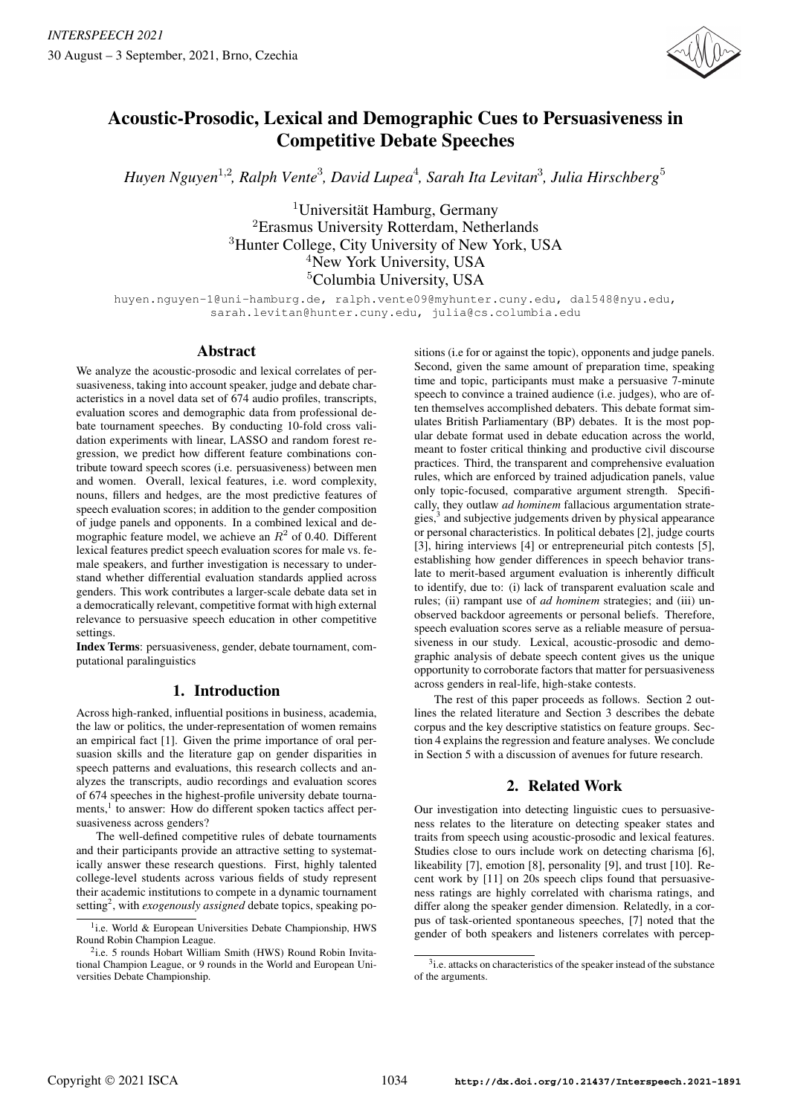

# Acoustic-Prosodic, Lexical and Demographic Cues to Persuasiveness in Competitive Debate Speeches

1,2 3 4 3 5 *Huyen Nguyen , Ralph Vente , David Lupea , Sarah Ita Levitan , Julia Hirschberg*

 $1$ Universität Hamburg, Germany <sup>2</sup>Erasmus University Rotterdam, Netherlands <sup>3</sup>Hunter College, City University of New York, USA <sup>4</sup>New York University, USA <sup>5</sup>Columbia University, USA

huyen.nguyen-1@uni-hamburg.de, ralph.vente09@myhunter.cuny.edu, dal548@nyu.edu, sarah.levitan@hunter.cuny.edu, julia@cs.columbia.edu

## Abstract

We analyze the acoustic-prosodic and lexical correlates of persuasiveness, taking into account speaker, judge and debate characteristics in a novel data set of 674 audio profiles, transcripts, evaluation scores and demographic data from professional debate tournament speeches. By conducting 10-fold cross validation experiments with linear, LASSO and random forest regression, we predict how different feature combinations contribute toward speech scores (i.e. persuasiveness) between men and women. Overall, lexical features, i.e. word complexity, nouns, fillers and hedges, are the most predictive features of speech evaluation scores; in addition to the gender composition of judge panels and opponents. In a combined lexical and demographic feature model, we achieve an  $R^2$  of 0.40. Different lexical features predict speech evaluation scores for male vs. female speakers, and further investigation is necessary to understand whether differential evaluation standards applied across genders. This work contributes a larger-scale debate data set in a democratically relevant, competitive format with high external relevance to persuasive speech education in other competitive settings.

Index Terms: persuasiveness, gender, debate tournament, computational paralinguistics

# 1. Introduction

Across high-ranked, influential positions in business, academia, the law or politics, the under-representation of women remains an empirical fact [1]. Given the prime importance of oral persuasion skills and the literature gap on gender disparities in speech patterns and evaluations, this research collects and analyzes the transcripts, audio recordings and evaluation scores of 674 speeches in the highest-profile university debate tournaments,<sup>1</sup> to answer: How do different spoken tactics affect persuasiveness across genders?

The well-defined competitive rules of debate tournaments and their participants provide an attractive setting to systematically answer these research questions. First, highly talented college-level students across various fields of study represent their academic institutions to compete in a dynamic tournament setting<sup>2</sup>, with *exogenously assigned* debate topics, speaking positions (i.e for or against the topic), opponents and judge panels. Second, given the same amount of preparation time, speaking time and topic, participants must make a persuasive 7-minute speech to convince a trained audience (i.e. judges), who are often themselves accomplished debaters. This debate format simulates British Parliamentary (BP) debates. It is the most popular debate format used in debate education across the world, meant to foster critical thinking and productive civil discourse practices. Third, the transparent and comprehensive evaluation rules, which are enforced by trained adjudication panels, value only topic-focused, comparative argument strength. Specifically, they outlaw *ad hominem* fallacious argumentation strategies,<sup>3</sup> and subjective judgements driven by physical appearance or personal characteristics. In political debates [2], judge courts [3], hiring interviews [4] or entrepreneurial pitch contests [5], establishing how gender differences in speech behavior translate to merit-based argument evaluation is inherently difficult to identify, due to: (i) lack of transparent evaluation scale and rules; (ii) rampant use of *ad hominem* strategies; and (iii) unobserved backdoor agreements or personal beliefs. Therefore, speech evaluation scores serve as a reliable measure of persuasiveness in our study. Lexical, acoustic-prosodic and demographic analysis of debate speech content gives us the unique opportunity to corroborate factors that matter for persuasiveness across genders in real-life, high-stake contests.

The rest of this paper proceeds as follows. Section 2 outlines the related literature and Section 3 describes the debate corpus and the key descriptive statistics on feature groups. Section 4 explains the regression and feature analyses. We conclude in Section 5 with a discussion of avenues for future research.

# 2. Related Work

Our investigation into detecting linguistic cues to persuasiveness relates to the literature on detecting speaker states and traits from speech using acoustic-prosodic and lexical features. Studies close to ours include work on detecting charisma [6], likeability [7], emotion [8], personality [9], and trust [10]. Recent work by [11] on 20s speech clips found that persuasiveness ratings are highly correlated with charisma ratings, and differ along the speaker gender dimension. Relatedly, in a corpus of task-oriented spontaneous speeches, [7] noted that the gender of both speakers and listeners correlates with percep-

<sup>&</sup>lt;sup>1</sup>i.e. World & European Universities Debate Championship, HWS Round Robin Champion League.

<sup>&</sup>lt;sup>2</sup>i.e. 5 rounds Hobart William Smith (HWS) Round Robin Invitational Champion League, or 9 rounds in the World and European Universities Debate Championship.

<sup>&</sup>lt;sup>3</sup>i.e. attacks on characteristics of the speaker instead of the substance of the arguments.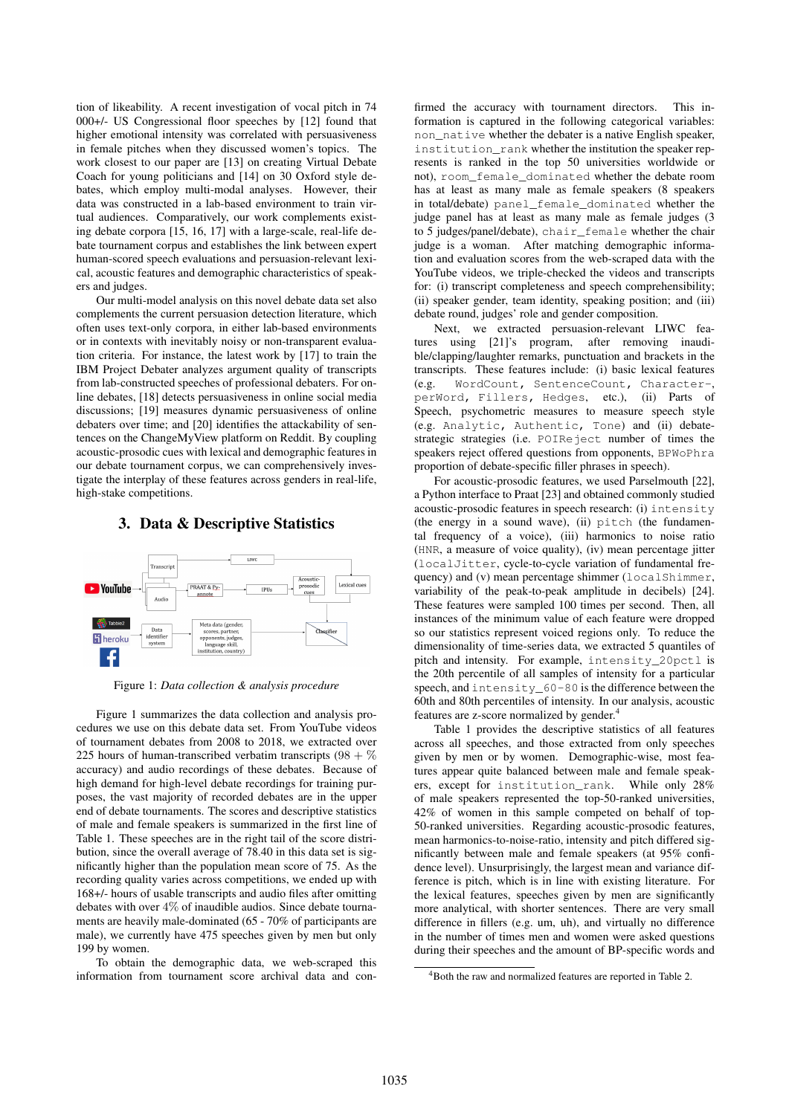tion of likeability. A recent investigation of vocal pitch in 74 000+/- US Congressional floor speeches by [12] found that higher emotional intensity was correlated with persuasiveness in female pitches when they discussed women's topics. The work closest to our paper are [13] on creating Virtual Debate Coach for young politicians and [14] on 30 Oxford style debates, which employ multi-modal analyses. However, their data was constructed in a lab-based environment to train virtual audiences. Comparatively, our work complements existing debate corpora [15, 16, 17] with a large-scale, real-life debate tournament corpus and establishes the link between expert human-scored speech evaluations and persuasion-relevant lexical, acoustic features and demographic characteristics of speakers and judges.

Our multi-model analysis on this novel debate data set also complements the current persuasion detection literature, which often uses text-only corpora, in either lab-based environments or in contexts with inevitably noisy or non-transparent evaluation criteria. For instance, the latest work by [17] to train the IBM Project Debater analyzes argument quality of transcripts from lab-constructed speeches of professional debaters. For online debates, [18] detects persuasiveness in online social media discussions; [19] measures dynamic persuasiveness of online debaters over time; and [20] identifies the attackability of sentences on the ChangeMyView platform on Reddit. By coupling acoustic-prosodic cues with lexical and demographic features in our debate tournament corpus, we can comprehensively investigate the interplay of these features across genders in real-life, high-stake competitions.

## 3. Data & Descriptive Statistics



Figure 1: *Data collection & analysis procedure*

Figure 1 summarizes the data collection and analysis procedures we use on this debate data set. From YouTube videos of tournament debates from 2008 to 2018, we extracted over 225 hours of human-transcribed verbatim transcripts  $(98 + \%$ accuracy) and audio recordings of these debates. Because of high demand for high-level debate recordings for training purposes, the vast majority of recorded debates are in the upper end of debate tournaments. The scores and descriptive statistics of male and female speakers is summarized in the first line of Table 1. These speeches are in the right tail of the score distribution, since the overall average of 78.40 in this data set is significantly higher than the population mean score of 75. As the recording quality varies across competitions, we ended up with 168+/- hours of usable transcripts and audio files after omitting debates with over 4% of inaudible audios. Since debate tournaments are heavily male-dominated (65 - 70% of participants are male), we currently have 475 speeches given by men but only 199 by women.

To obtain the demographic data, we web-scraped this information from tournament score archival data and con-

firmed the accuracy with tournament directors. This information is captured in the following categorical variables: non\_native whether the debater is a native English speaker, institution\_rank whether the institution the speaker represents is ranked in the top 50 universities worldwide or not), room\_female\_dominated whether the debate room has at least as many male as female speakers (8 speakers in total/debate) panel\_female\_dominated whether the judge panel has at least as many male as female judges (3 to 5 judges/panel/debate), chair\_female whether the chair judge is a woman. After matching demographic information and evaluation scores from the web-scraped data with the YouTube videos, we triple-checked the videos and transcripts for: (i) transcript completeness and speech comprehensibility; (ii) speaker gender, team identity, speaking position; and (iii) debate round, judges' role and gender composition.

Next, we extracted persuasion-relevant LIWC features using [21]'s program, after removing inaudible/clapping/laughter remarks, punctuation and brackets in the transcripts. These features include: (i) basic lexical features (e.g. WordCount, SentenceCount, Character-, perWord, Fillers, Hedges, etc.), (ii) Parts of Speech, psychometric measures to measure speech style (e.g. Analytic, Authentic, Tone) and (ii) debatestrategic strategies (i.e. POIReject number of times the speakers reject offered questions from opponents, BPWoPhra proportion of debate-specific filler phrases in speech).

For acoustic-prosodic features, we used Parselmouth [22], a Python interface to Praat [23] and obtained commonly studied acoustic-prosodic features in speech research: (i) intensity (the energy in a sound wave), (ii) pitch (the fundamental frequency of a voice), (iii) harmonics to noise ratio (HNR, a measure of voice quality), (iv) mean percentage jitter (localJitter, cycle-to-cycle variation of fundamental frequency) and (v) mean percentage shimmer (localShimmer, variability of the peak-to-peak amplitude in decibels) [24]. These features were sampled 100 times per second. Then, all instances of the minimum value of each feature were dropped so our statistics represent voiced regions only. To reduce the dimensionality of time-series data, we extracted 5 quantiles of pitch and intensity. For example, intensity\_20pctl is the 20th percentile of all samples of intensity for a particular speech, and intensity\_60-80 is the difference between the 60th and 80th percentiles of intensity. In our analysis, acoustic features are z-score normalized by gender.<sup>4</sup>

Table 1 provides the descriptive statistics of all features across all speeches, and those extracted from only speeches given by men or by women. Demographic-wise, most features appear quite balanced between male and female speakers, except for institution\_rank. While only 28% of male speakers represented the top-50-ranked universities, 42% of women in this sample competed on behalf of top-50-ranked universities. Regarding acoustic-prosodic features, mean harmonics-to-noise-ratio, intensity and pitch differed significantly between male and female speakers (at 95% confidence level). Unsurprisingly, the largest mean and variance difference is pitch, which is in line with existing literature. For the lexical features, speeches given by men are significantly more analytical, with shorter sentences. There are very small difference in fillers (e.g. um, uh), and virtually no difference in the number of times men and women were asked questions during their speeches and the amount of BP-specific words and

<sup>4</sup>Both the raw and normalized features are reported in Table 2.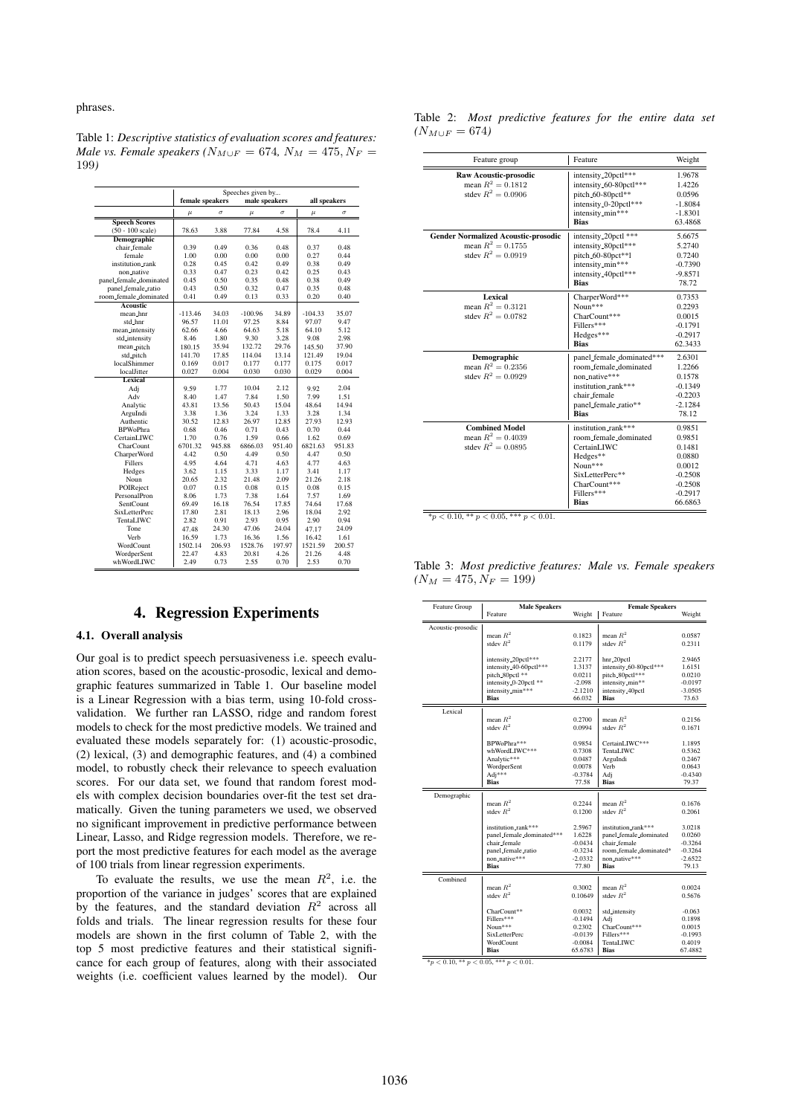phrases.

|                            | Speeches given by |                                  |           |          |              |          |  |  |
|----------------------------|-------------------|----------------------------------|-----------|----------|--------------|----------|--|--|
|                            |                   | male speakers<br>female speakers |           |          | all speakers |          |  |  |
|                            | $\mu$             | $\sigma$                         | $\mu$     | $\sigma$ | $\mu$        | $\sigma$ |  |  |
| <b>Speech Scores</b>       |                   |                                  |           |          |              |          |  |  |
| $(50 - 100 \text{ scale})$ | 78.63             | 3.88                             | 77.84     | 4.58     | 78.4         | 4.11     |  |  |
| <b>Demographic</b>         |                   |                                  |           |          |              |          |  |  |
| chair_female               | 0.39              | 0.49                             | 0.36      | 0.48     | 0.37         | 0.48     |  |  |
| female                     | 1.00              | 0.00                             | 0.00      | 0.00     | 0.27         | 0.44     |  |  |
| institution_rank           | 0.28              | 0.45                             | 0.42      | 0.49     | 0.38         | 0.49     |  |  |
| non native                 | 0.33              | 0.47                             | 0.23      | 0.42     | 0.25         | 0.43     |  |  |
| panel_female_dominated     | 0.45              | 0.50                             | 0.35      | 0.48     | 0.38         | 0.49     |  |  |
| panel_female_ratio         | 0.43              | 0.50                             | 0.32      | 0.47     | 0.35         | 0.48     |  |  |
| room_female_dominated      | 0.41              | 0.49                             | 0.13      | 0.33     | 0.20         | 0.40     |  |  |
| <b>Aconstic</b>            |                   |                                  |           |          |              |          |  |  |
| mean_hnr                   | $-113.46$         | 34.03                            | $-100.96$ | 34.89    | $-104.33$    | 35.07    |  |  |
| std_hnr                    | 96.57             | 11.01                            | 97.25     | 8.84     | 97.07        | 9.47     |  |  |
| mean_intensity             | 62.66             | 4.66                             | 64.63     | 5.18     | 64.10        | 5.12     |  |  |
| std_intensity              | 8.46              | 1.80                             | 9.30      | 3.28     | 9.08         | 2.98     |  |  |
| mean_pitch                 | 180.15            | 35.94                            | 132.72    | 29.76    | 145.50       | 37.90    |  |  |
| std_pitch                  | 141.70            | 17.85                            | 114.04    | 13.14    | 121.49       | 19.04    |  |  |
| localShimmer               | 0.169             | 0.017                            | 0.177     | 0.177    | 0.175        | 0.017    |  |  |
| localJitter                | 0.027             | 0.004                            | 0.030     | 0.030    | 0.029        | 0.004    |  |  |
| Lexical                    |                   |                                  |           |          |              |          |  |  |
| Adj                        | 9.59              | 1.77                             | 10.04     | 2.12     | 9.92         | 2.04     |  |  |
| Adv                        | 8.40              | 1.47                             | 7.84      | 1.50     | 7.99         | 1.51     |  |  |
| Analytic                   | 43.81             | 13.56                            | 50.43     | 15.04    | 48.64        | 14.94    |  |  |
| ArguIndi                   | 3.38              | 1.36                             | 3.24      | 1.33     | 3.28         | 1.34     |  |  |
| Authentic                  | 30.52             | 12.83                            | 26.97     | 12.85    | 27.93        | 12.93    |  |  |
| <b>BPWoPhra</b>            | 0.68              | 0.46                             | 0.71      | 0.43     | 0.70         | 0.44     |  |  |
| CertainLIWC                | 1.70              | 0.76                             | 1.59      | 0.66     | 1.62         | 0.69     |  |  |
| CharCount                  | 6701.32           | 945.88                           | 6866.03   | 951.40   | 6821.63      | 951.83   |  |  |
| CharperWord                | 4.42              | 0.50                             | 4.49      | 0.50     | 4.47         | 0.50     |  |  |
| Fillers                    | 4.95              | 4.64                             | 4.71      | 4.63     | 4.77         | 4.63     |  |  |
| Hedges                     | 3.62              | 1.15                             | 3.33      | 1.17     | 3.41         | 1.17     |  |  |
| Noun                       | 20.65             | 2.32                             | 21.48     | 2.09     | 21.26        | 2.18     |  |  |
| POIReject                  | 0.07              | 0.15                             | 0.08      | 0.15     | 0.08         | 0.15     |  |  |
| PersonalPron               | 8.06              | 1.73                             | 7.38      | 1.64     | 7.57         | 1.69     |  |  |
| SentCount                  | 69.49             | 16.18                            | 76.54     | 17.85    | 74.64        | 17.68    |  |  |
| SixLetterPerc              | 17.80             | 2.81                             | 18.13     | 2.96     | 18.04        | 2.92     |  |  |
| TentaLIWC                  | 2.82              | 0.91                             | 2.93      | 0.95     | 2.90         | 0.94     |  |  |
| Tone                       | 47.48             | 24.30                            | 47.06     | 24.04    | 47.17        | 24.09    |  |  |
| Verh                       | 16.59             | 1.73                             | 16.36     | 1.56     | 16.42        | 1.61     |  |  |
| WordCount                  | 1502.14           | 206.93                           | 1528.76   | 197.97   | 1521.59      | 200.57   |  |  |
| WordperSent                | 22.47             | 4.83                             | 20.81     | 4.26     | 21.26        | 4.48     |  |  |
| whWordLIWC                 | 2.49              | 0.73                             | 2.55      | 0.70     | 2.53         | 0.70     |  |  |

Table 1: *Descriptive statistics of evaluation scores and features: Male vs. Female speakers* ( $N_{M\cup F} = 674$ ,  $N_M = 475$ ,  $N_F =$ 199*)*

## 4. Regression Experiments

#### 4.1. Overall analysis

Our goal is to predict speech persuasiveness i.e. speech evaluation scores, based on the acoustic-prosodic, lexical and demographic features summarized in Table 1. Our baseline model is a Linear Regression with a bias term, using 10-fold crossvalidation. We further ran LASSO, ridge and random forest models to check for the most predictive models. We trained and evaluated these models separately for: (1) acoustic-prosodic, (2) lexical, (3) and demographic features, and (4) a combined model, to robustly check their relevance to speech evaluation scores. For our data set, we found that random forest models with complex decision boundaries over-fit the test set dramatically. Given the tuning parameters we used, we observed no significant improvement in predictive performance between Linear, Lasso, and Ridge regression models. Therefore, we report the most predictive features for each model as the average of 100 trials from linear regression experiments.

To evaluate the results, we use the mean  $R^2$ , i.e. the proportion of the variance in judges' scores that are explained by the features, and the standard deviation  $R^2$  across all folds and trials. The linear regression results for these four models are shown in the first column of Table 2, with the top 5 most predictive features and their statistical significance for each group of features, along with their associated weights (i.e. coefficient values learned by the model). Our

Table 2: *Most predictive features for the entire data set*  $(N_{M\cup F} = 674)$ 

| Feature group                                                                             | Feature                                                                                                                                              | Weight                                                                                           |
|-------------------------------------------------------------------------------------------|------------------------------------------------------------------------------------------------------------------------------------------------------|--------------------------------------------------------------------------------------------------|
| Raw Acoustic-prosodic<br>mean $R^2 = 0.1812$<br>stdev $R^2 = 0.0906$                      | intensity_20pctl***<br>intensity_60-80pctl***<br>pitch_60-80pctl**<br>intensity_0-20pctl***<br>intensity_min***<br><b>Bias</b>                       | 1.9678<br>1.4226<br>0.0596<br>$-1.8084$<br>$-1.8301$<br>63.4868                                  |
| <b>Gender Normalized Acoustic-prosodic</b><br>mean $R^2 = 0.1755$<br>stdev $R^2 = 0.0919$ | intensity_20pctl ***<br>intensity_80pctl***<br>pitch_60-80pct**1<br>intensity_min***<br>intensity_40pctl***<br><b>Bias</b>                           | 5.6675<br>5.2740<br>0.7240<br>$-0.7390$<br>$-9.8571$<br>78.72                                    |
| Lexical<br>mean $R^2 = 0.3121$<br>stdev $R^2 = 0.0782$                                    | CharperWord***<br>Noun***<br>CharCount***<br>Fillers***<br>Hedges***<br><b>Bias</b>                                                                  | 0.7353<br>0.2293<br>0.0015<br>$-0.1791$<br>$-0.2917$<br>62.3433                                  |
| Demographic<br>mean $R^2 = 0.2356$<br>stdev $R^2 = 0.0929$                                | panel_female_dominated***<br>room_female_dominated<br>non native***<br>institution_rank***<br>chair_female<br>panel_female_ratio**<br><b>Bias</b>    | 2.6301<br>1.2266<br>0.1578<br>$-0.1349$<br>$-0.2203$<br>$-2.1284$<br>78.12                       |
| <b>Combined Model</b><br>mean $R^2 = 0.4039$<br>stdev $R^2 = 0.0895$                      | institution rank***<br>room_female_dominated<br>CertainLIWC<br>Hedges**<br>$Noun***$<br>SixLetterPerc**<br>CharCount***<br>Fillers***<br><b>Bias</b> | 0.9851<br>0.9851<br>0.1481<br>0.0880<br>0.0012<br>$-0.2508$<br>$-0.2508$<br>$-0.2917$<br>66.6863 |

 $*_{p < 0.10, ** p < 0.05, ** p < 0.01.}$ 

Table 3: *Most predictive features: Male vs. Female speakers*  $(N_M = 475, N_F = 199)$ 

|                   | <b>Male Speakers</b><br><b>Female Speakers</b> |                    |                              |                    |  |
|-------------------|------------------------------------------------|--------------------|------------------------------|--------------------|--|
| Feature Group     | Feature                                        |                    | Weight   Feature             | Weight             |  |
|                   |                                                |                    |                              |                    |  |
| Acoustic-prosodic | mean $R^2$                                     | 0.1823             | mean $R^2$                   | 0.0587             |  |
|                   | stdev $R^2$                                    | 0.1179             | stdev $R^2$                  | 0.2311             |  |
|                   |                                                |                    |                              |                    |  |
|                   | intensity_20pctl***                            | 2.2177             | hnr_20pctl                   | 2.9465             |  |
|                   | intensity_40-60pctl***                         | 1.3137             | intensity_60-80pctl***       | 1.6151             |  |
|                   | pitch_80pctl **                                | 0.0211             | pitch_80pctl***              | 0.0210             |  |
|                   | intensity_0-20pctl **                          | $-2.098$           | intensity_min**              | $-0.0197$          |  |
|                   | intensity_min***                               | $-2.1210$          | intensity_40pctl             | $-3.0505$          |  |
|                   | <b>Bias</b>                                    | 66.032             | <b>Bias</b>                  | 73.63              |  |
| Lexical           |                                                |                    |                              |                    |  |
|                   | mean $R^2$                                     | 0.2700             | mean $R^2$                   | 0.2156             |  |
|                   | stdev $R^2$                                    | 0.0994             | stdev $R^2$                  | 0.1671             |  |
|                   | BPWoPhra***                                    | 0.9854             | CertainLIWC***               | 1.1895             |  |
|                   | whWordLIWC***                                  | 0.7308             | TentaLIWC                    | 0.5362             |  |
|                   | Analytic***                                    | 0.0487             | ArguIndi                     | 0.2467             |  |
|                   | WordperSent                                    | 0.0078             | Verb                         | 0.0643             |  |
|                   | Adj***                                         | $-0.3784$          | Adj                          | $-0.4340$          |  |
|                   | <b>Bias</b>                                    | 77.58              | <b>Bias</b>                  | 79.37              |  |
| Demographic       |                                                |                    |                              |                    |  |
|                   | mean $R^2$                                     | 0.2244             | mean $R^2$                   | 0.1676             |  |
|                   | stdev $R^2$                                    | 0.1200             | stdev $R^2$                  | 0.2061             |  |
|                   |                                                |                    |                              |                    |  |
|                   | institution_rank***                            | 2.5967             | institution_rank***          | 3.0218             |  |
|                   | panel_female_dominated***                      | 1.6228             | panel_female_dominated       | 0.0260             |  |
|                   | chair_female                                   | $-0.0434$          | chair female                 | $-0.3264$          |  |
|                   | panel_female_ratio<br>non_native***            | $-0.3234$          | room_female_dominated*       | $-0.3264$          |  |
|                   | <b>Bias</b>                                    | $-2.0332$<br>77.80 | non_native***<br><b>Bias</b> | $-2.6522$<br>79.13 |  |
|                   |                                                |                    |                              |                    |  |
| Combined          |                                                |                    |                              |                    |  |
|                   | mean $R^2$                                     | 0.3002             | mean $R^2$<br>stdev $R^2$    | 0.0024             |  |
|                   | stdev $R^2$                                    | 0.10649            |                              | 0.5676             |  |
|                   | CharCount**                                    | 0.0032             | std_intensity                | $-0.063$           |  |
|                   | Fillers***                                     | $-0.1494$          | Adj                          | 0.1898             |  |
|                   | $N$ oun***                                     | 0.2302             | CharCount***                 | 0.0015             |  |
|                   | SixLetterPerc                                  | $-0.0139$          | Fillers***                   | $-0.1993$          |  |
|                   | WordCount                                      | $-0.0084$          | TentaLIWC                    | 0.4019             |  |
|                   | <b>Bias</b>                                    | 65.6783            | <b>Bias</b>                  | 67.4882            |  |

 $*_{p}$  < 0.10, \*\*  $p$  < 0.05, \*\*\*  $p$  < 0.01.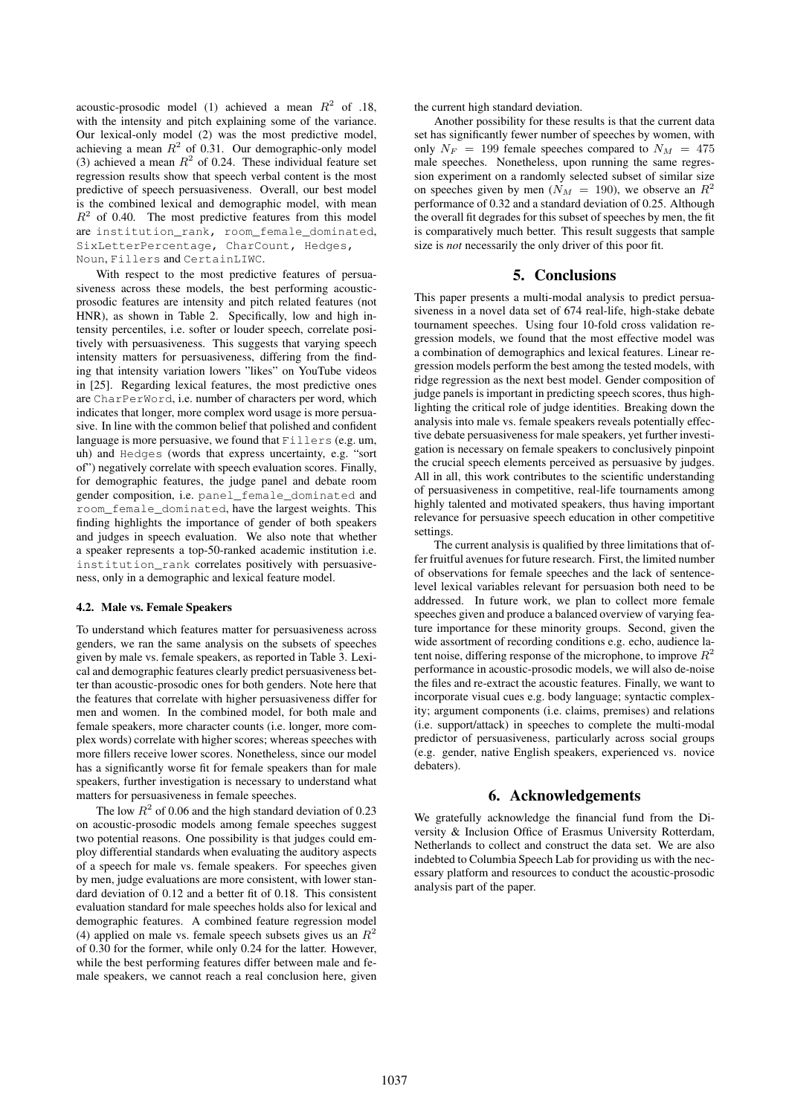acoustic-prosodic model (1) achieved a mean  $R^2$  of .18, with the intensity and pitch explaining some of the variance. Our lexical-only model (2) was the most predictive model, achieving a mean  $R^2$  of 0.31. Our demographic-only model (3) achieved a mean  $R^2$  of 0.24. These individual feature set regression results show that speech verbal content is the most predictive of speech persuasiveness. Overall, our best model is the combined lexical and demographic model, with mean  $R<sup>2</sup>$  of 0.40. The most predictive features from this model are institution\_rank, room\_female\_dominated, SixLetterPercentage, CharCount, Hedges, Noun, Fillers and CertainLIWC.

With respect to the most predictive features of persuasiveness across these models, the best performing acousticprosodic features are intensity and pitch related features (not HNR), as shown in Table 2. Specifically, low and high intensity percentiles, i.e. softer or louder speech, correlate positively with persuasiveness. This suggests that varying speech intensity matters for persuasiveness, differing from the finding that intensity variation lowers "likes" on YouTube videos in [25]. Regarding lexical features, the most predictive ones are CharPerWord, i.e. number of characters per word, which indicates that longer, more complex word usage is more persuasive. In line with the common belief that polished and confident language is more persuasive, we found that Fillers (e.g. um, uh) and Hedges (words that express uncertainty, e.g. "sort of") negatively correlate with speech evaluation scores. Finally, for demographic features, the judge panel and debate room gender composition, i.e. panel\_female\_dominated and room\_female\_dominated, have the largest weights. This finding highlights the importance of gender of both speakers and judges in speech evaluation. We also note that whether a speaker represents a top-50-ranked academic institution i.e. institution\_rank correlates positively with persuasiveness, only in a demographic and lexical feature model.

#### 4.2. Male vs. Female Speakers

To understand which features matter for persuasiveness across genders, we ran the same analysis on the subsets of speeches given by male vs. female speakers, as reported in Table 3. Lexical and demographic features clearly predict persuasiveness better than acoustic-prosodic ones for both genders. Note here that the features that correlate with higher persuasiveness differ for men and women. In the combined model, for both male and female speakers, more character counts (i.e. longer, more complex words) correlate with higher scores; whereas speeches with more fillers receive lower scores. Nonetheless, since our model has a significantly worse fit for female speakers than for male speakers, further investigation is necessary to understand what matters for persuasiveness in female speeches.

The low  $R^2$  of 0.06 and the high standard deviation of 0.23 on acoustic-prosodic models among female speeches suggest two potential reasons. One possibility is that judges could employ differential standards when evaluating the auditory aspects of a speech for male vs. female speakers. For speeches given by men, judge evaluations are more consistent, with lower standard deviation of 0.12 and a better fit of 0.18. This consistent evaluation standard for male speeches holds also for lexical and demographic features. A combined feature regression model (4) applied on male vs. female speech subsets gives us an  $R^2$ of 0.30 for the former, while only 0.24 for the latter. However, while the best performing features differ between male and female speakers, we cannot reach a real conclusion here, given the current high standard deviation.

Another possibility for these results is that the current data set has significantly fewer number of speeches by women, with only  $N_F = 199$  female speeches compared to  $N_M = 475$ male speeches. Nonetheless, upon running the same regression experiment on a randomly selected subset of similar size on speeches given by men ( $N_M = 190$ ), we observe an  $R^2$ performance of 0.32 and a standard deviation of 0.25. Although the overall fit degrades for this subset of speeches by men, the fit is comparatively much better. This result suggests that sample size is *not* necessarily the only driver of this poor fit.

## 5. Conclusions

This paper presents a multi-modal analysis to predict persuasiveness in a novel data set of 674 real-life, high-stake debate tournament speeches. Using four 10-fold cross validation regression models, we found that the most effective model was a combination of demographics and lexical features. Linear regression models perform the best among the tested models, with ridge regression as the next best model. Gender composition of judge panels is important in predicting speech scores, thus highlighting the critical role of judge identities. Breaking down the analysis into male vs. female speakers reveals potentially effective debate persuasiveness for male speakers, yet further investigation is necessary on female speakers to conclusively pinpoint the crucial speech elements perceived as persuasive by judges. All in all, this work contributes to the scientific understanding of persuasiveness in competitive, real-life tournaments among highly talented and motivated speakers, thus having important relevance for persuasive speech education in other competitive settings.

The current analysis is qualified by three limitations that offer fruitful avenues for future research. First, the limited number of observations for female speeches and the lack of sentencelevel lexical variables relevant for persuasion both need to be addressed. In future work, we plan to collect more female speeches given and produce a balanced overview of varying feature importance for these minority groups. Second, given the wide assortment of recording conditions e.g. echo, audience latent noise, differing response of the microphone, to improve  $R^2$ performance in acoustic-prosodic models, we will also de-noise the files and re-extract the acoustic features. Finally, we want to incorporate visual cues e.g. body language; syntactic complexity; argument components (i.e. claims, premises) and relations (i.e. support/attack) in speeches to complete the multi-modal predictor of persuasiveness, particularly across social groups (e.g. gender, native English speakers, experienced vs. novice debaters).

## 6. Acknowledgements

We gratefully acknowledge the financial fund from the Diversity & Inclusion Office of Erasmus University Rotterdam, Netherlands to collect and construct the data set. We are also indebted to Columbia Speech Lab for providing us with the necessary platform and resources to conduct the acoustic-prosodic analysis part of the paper.